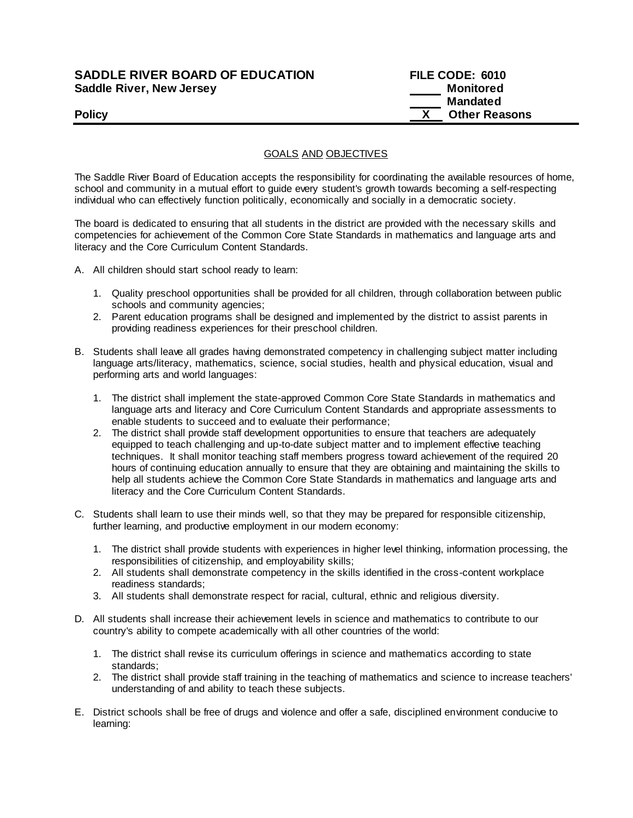## **SADDLE RIVER BOARD OF EDUCATION Saddle River, New Jersey**

| <b>SADDLE RIVER BOARD OF EDUCATION</b> | FILE CODE: 6010      |
|----------------------------------------|----------------------|
| Saddle River, New Jersey               | Monitored            |
|                                        | Mandated             |
| <b>Policy</b>                          | <b>Other Reasons</b> |

GOALS AND OBJECTIVES

The Saddle River Board of Education accepts the responsibility for coordinating the available resources of home, school and community in a mutual effort to guide every student's growth towards becoming a self-respecting individual who can effectively function politically, economically and socially in a democratic society.

The board is dedicated to ensuring that all students in the district are provided with the necessary skills and competencies for achievement of the Common Core State Standards in mathematics and language arts and literacy and the Core Curriculum Content Standards.

- A. All children should start school ready to learn:
	- 1. Quality preschool opportunities shall be provided for all children, through collaboration between public schools and community agencies;
	- 2. Parent education programs shall be designed and implemented by the district to assist parents in providing readiness experiences for their preschool children.
- B. Students shall leave all grades having demonstrated competency in challenging subject matter including language arts/literacy, mathematics, science, social studies, health and physical education, visual and performing arts and world languages:
	- 1. The district shall implement the state-approved Common Core State Standards in mathematics and language arts and literacy and Core Curriculum Content Standards and appropriate assessments to enable students to succeed and to evaluate their performance;
	- 2. The district shall provide staff development opportunities to ensure that teachers are adequately equipped to teach challenging and up-to-date subject matter and to implement effective teaching techniques. It shall monitor teaching staff members progress toward achievement of the required 20 hours of continuing education annually to ensure that they are obtaining and maintaining the skills to help all students achieve the Common Core State Standards in mathematics and language arts and literacy and the Core Curriculum Content Standards.
- C. Students shall learn to use their minds well, so that they may be prepared for responsible citizenship, further learning, and productive employment in our modern economy:
	- 1. The district shall provide students with experiences in higher level thinking, information processing, the responsibilities of citizenship, and employability skills;
	- 2. All students shall demonstrate competency in the skills identified in the cross-content workplace readiness standards;
	- 3. All students shall demonstrate respect for racial, cultural, ethnic and religious diversity.
- D. All students shall increase their achievement levels in science and mathematics to contribute to our country's ability to compete academically with all other countries of the world:
	- 1. The district shall revise its curriculum offerings in science and mathematics according to state standards;
	- 2. The district shall provide staff training in the teaching of mathematics and science to increase teachers' understanding of and ability to teach these subjects.
- E. District schools shall be free of drugs and violence and offer a safe, disciplined environment conducive to learning: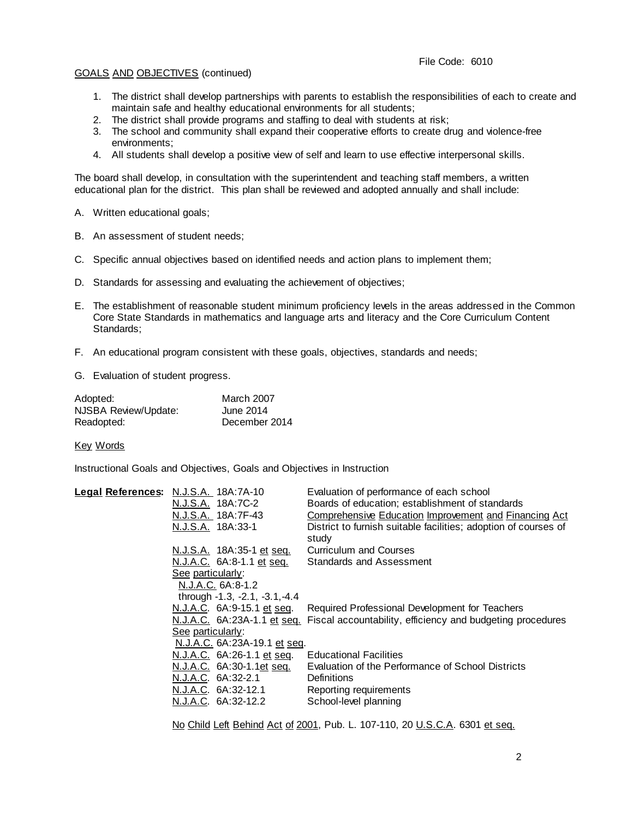## GOALS AND OBJECTIVES (continued)

- 1. The district shall develop partnerships with parents to establish the responsibilities of each to create and maintain safe and healthy educational environments for all students;
- 2. The district shall provide programs and staffing to deal with students at risk;
- 3. The school and community shall expand their cooperative efforts to create drug and violence-free environments;
- 4. All students shall develop a positive view of self and learn to use effective interpersonal skills.

The board shall develop, in consultation with the superintendent and teaching staff members, a written educational plan for the district. This plan shall be reviewed and adopted annually and shall include:

- A. Written educational goals;
- B. An assessment of student needs;
- C. Specific annual objectives based on identified needs and action plans to implement them;
- D. Standards for assessing and evaluating the achievement of objectives;
- E. The establishment of reasonable student minimum proficiency levels in the areas addressed in the Common Core State Standards in mathematics and language arts and literacy and the Core Curriculum Content Standards;
- F. An educational program consistent with these goals, objectives, standards and needs;
- G. Evaluation of student progress.

| Adopted:             | March 2007    |
|----------------------|---------------|
| NJSBA Review/Update: | June 2014     |
| Readopted:           | December 2014 |

Key Words

Instructional Goals and Objectives, Goals and Objectives in Instruction

|                                                   | Legal References: N.J.S.A. 18A:7A-10 | Evaluation of performance of each school                                               |
|---------------------------------------------------|--------------------------------------|----------------------------------------------------------------------------------------|
|                                                   | N.J.S.A. 18A:7C-2                    | Boards of education; establishment of standards                                        |
|                                                   | N.J.S.A. 18A:7F-43                   | Comprehensive Education Improvement and Financing Act                                  |
|                                                   | N.J.S.A. 18A:33-1                    | District to furnish suitable facilities; adoption of courses of<br>study               |
|                                                   | N.J.S.A. 18A:35-1 et seq.            | <b>Curriculum and Courses</b>                                                          |
|                                                   | N.J.A.C. 6A:8-1.1 et seq.            | Standards and Assessment                                                               |
|                                                   | See particularly:                    |                                                                                        |
|                                                   | N.J.A.C. 6A:8-1.2                    |                                                                                        |
|                                                   | through -1.3, -2.1, -3.1, -4.4       |                                                                                        |
|                                                   | N.J.A.C. 6A:9-15.1 et seq.           | Required Professional Development for Teachers                                         |
|                                                   |                                      | N.J.A.C. 6A:23A-1.1 et seq. Fiscal accountability, efficiency and budgeting procedures |
| See particularly:<br>N.J.A.C. 6A:23A-19.1 et seq. |                                      |                                                                                        |
|                                                   |                                      |                                                                                        |
|                                                   | N.J.A.C. 6A:26-1.1 et seq.           | <b>Educational Facilities</b>                                                          |
|                                                   | N.J.A.C. 6A:30-1.1et seq.            | Evaluation of the Performance of School Districts                                      |
|                                                   | N.J.A.C. 6A:32-2.1                   | <b>Definitions</b>                                                                     |
|                                                   | N.J.A.C. 6A:32-12.1                  | Reporting requirements                                                                 |
|                                                   | N.J.A.C. 6A:32-12.2                  | School-level planning                                                                  |
|                                                   |                                      |                                                                                        |

No Child Left Behind Act of 2001, Pub. L. 107-110, 20 U.S.C.A. 6301 et seq.